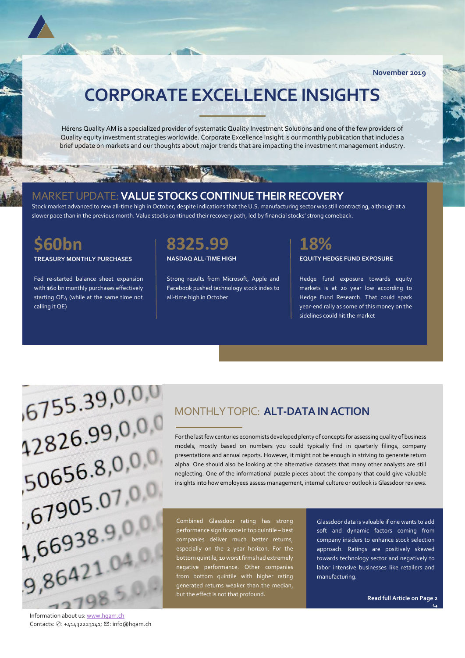**November 2019**

# **CORPORATE EXCELLENCE INSIGHTS**

Hérens Quality AM is a specialized provider of systematic Quality Investment Solutions and one of the few providers of Quality equity investment strategies worldwide. Corporate Excellence Insight is our monthly publication that includes a brief update on markets and our thoughts about major trends that are impacting the investment management industry.

### MARKET UPDATE:**VALUE STOCKSCONTINUE THEIR RECOVERY**

Stock market advanced to new all-time high in October, despite indications that the U.S. manufacturing sector was still contracting, although at a slower pace than in the previous month. Value stocks continued their recovery path, led by financial stocks' strong comeback.

### **\$60bn**

**TREASURY MONTHLY PURCHASES**

 $-2\hbar$  diam

Fed re-started balance sheet expansion with \$60 bn monthly purchases effectively starting QE4 (while at the same time not calling it QE)



**NASDAQ ALL-TIME HIGH**

Strong results from Microsoft, Apple and Facebook pushed technology stock index to all-time high in October



**EQUITY HEDGE FUND EXPOSURE**

Hedge fund exposure towards equity markets is at 20 year low according to Hedge Fund Research. That could spark year-end rally as some of this money on the sidelines could hit the market



MONTHLY TOPIC: **ALT-DATA IN ACTION**

For the last few centuries economists developed plenty of concepts for assessing quality of business models, mostly based on numbers you could typically find in quarterly filings, company presentations and annual reports. However, it might not be enough in striving to generate return alpha. One should also be looking at the alternative datasets that many other analysts are still neglecting. One of the informational puzzle pieces about the company that could give valuable insights into how employees assess management, internal culture or outlook is Glassdoor reviews.

Combined Glassdoor rating has strong performance significance in top quintile – best companies deliver much better returns, especially on the 2 year horizon. For the bottom quintile, 10 worst firms had extremely negative performance. Other companies from bottom quintile with higher rating generated returns weaker than the median, but the effect is not that profound.

Glassdoor data is valuable if one wants to add soft and dynamic factors coming from company insiders to enhance stock selection approach. Ratings are positively skewed towards technology sector and negatively to labor intensive businesses like retailers and manufacturing.

**Read full Article on Page 2** 

 $\hookrightarrow$ 

Information about us[: www.hqam.ch](http://www.hqam.ch/) Contacts: ✆: +41432223141; ✉: info@hqam.ch